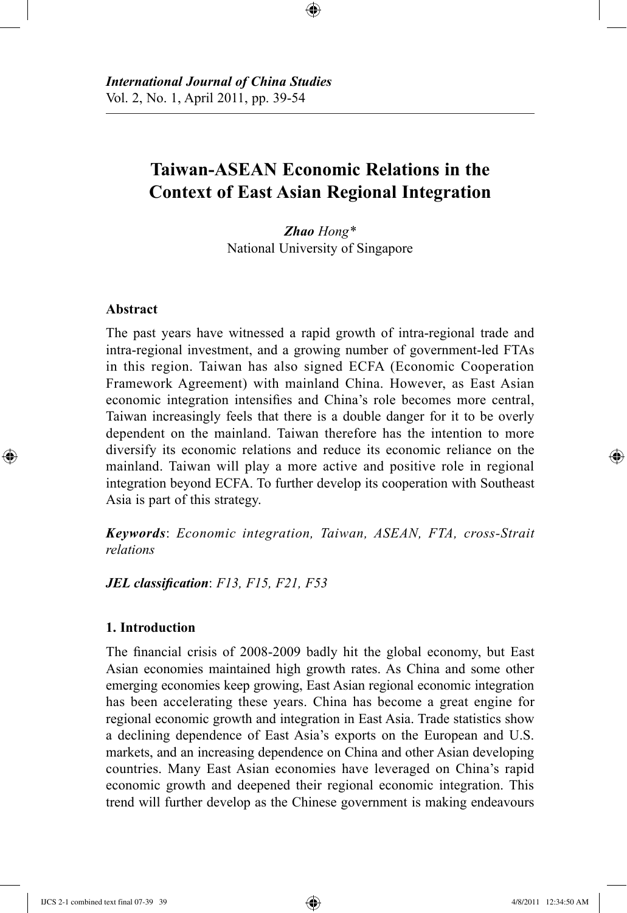# **Taiwan-ASEAN Economic Relations in the Context of East Asian Regional Integration**

⊕

*Zhao Hong\** National University of Singapore

## **Abstract**

⊕

The past years have witnessed a rapid growth of intra-regional trade and intra-regional investment, and a growing number of government-led FTAs in this region. Taiwan has also signed ECFA (Economic Cooperation Framework Agreement) with mainland China. However, as East Asian economic integration intensifies and China's role becomes more central, Taiwan increasingly feels that there is a double danger for it to be overly dependent on the mainland. Taiwan therefore has the intention to more diversify its economic relations and reduce its economic reliance on the mainland. Taiwan will play a more active and positive role in regional integration beyond ECFA. To further develop its cooperation with Southeast Asia is part of this strategy.

*Keywords*: *Economic integration, Taiwan, ASEAN, FTA, cross-Strait relations*

*JEL classification*: *F13, F15, F21, F53*

#### **1. Introduction**

The financial crisis of 2008-2009 badly hit the global economy, but East Asian economies maintained high growth rates. As China and some other emerging economies keep growing, East Asian regional economic integration has been accelerating these years. China has become a great engine for regional economic growth and integration in East Asia. Trade statistics show a declining dependence of East Asia's exports on the European and U.S. markets, and an increasing dependence on China and other Asian developing countries. Many East Asian economies have leveraged on China's rapid economic growth and deepened their regional economic integration. This trend will further develop as the Chinese government is making endeavours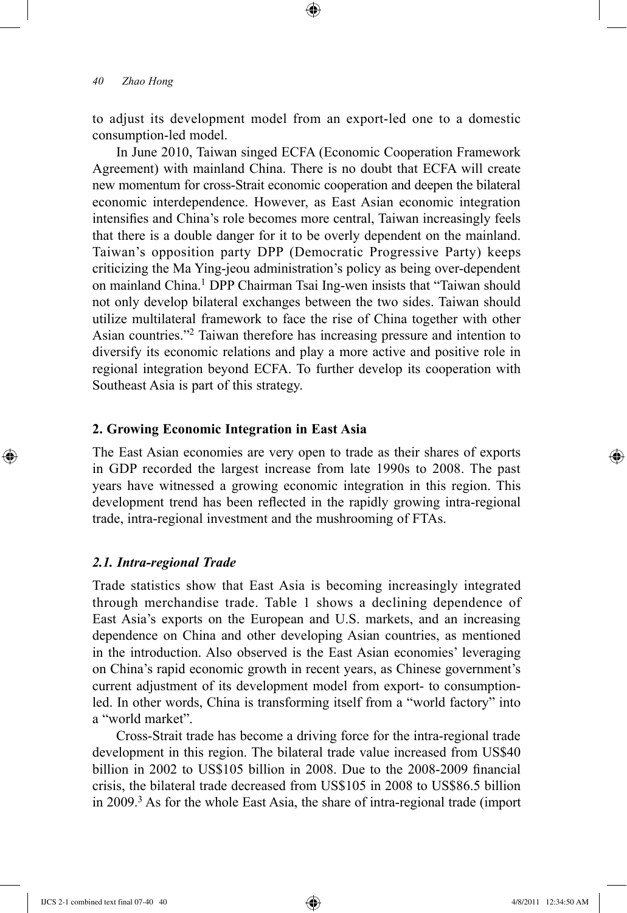to adjust its development model from an export-led one to a domestic consumption-led model.

⊕

In June 2010, Taiwan singed ECFA (Economic Cooperation Framework Agreement) with mainland China. There is no doubt that ECFA will create new momentum for cross-Strait economic cooperation and deepen the bilateral economic interdependence. However, as East Asian economic integration intensifies and China's role becomes more central, Taiwan increasingly feels that there is a double danger for it to be overly dependent on the mainland. Taiwan's opposition party DPP (Democratic Progressive Party) keeps criticizing the Ma Ying-jeou administration's policy as being over-dependent on mainland China.1 DPP Chairman Tsai Ing-wen insists that "Taiwan should not only develop bilateral exchanges between the two sides. Taiwan should utilize multilateral framework to face the rise of China together with other Asian countries."2 Taiwan therefore has increasing pressure and intention to diversify its economic relations and play a more active and positive role in regional integration beyond ECFA. To further develop its cooperation with Southeast Asia is part of this strategy.

## **2. Growing Economic Integration in East Asia**

The East Asian economies are very open to trade as their shares of exports in GDP recorded the largest increase from late 1990s to 2008. The past years have witnessed a growing economic integration in this region. This development trend has been reflected in the rapidly growing intra-regional trade, intra-regional investment and the mushrooming of FTAs.

#### *2.1. Intra-regional Trade*

⊕

Trade statistics show that East Asia is becoming increasingly integrated through merchandise trade. Table 1 shows a declining dependence of East Asia's exports on the European and U.S. markets, and an increasing dependence on China and other developing Asian countries, as mentioned in the introduction. Also observed is the East Asian economies' leveraging on China's rapid economic growth in recent years, as Chinese government's current adjustment of its development model from export- to consumptionled. In other words, China is transforming itself from a "world factory" into a "world market".

Cross-Strait trade has become a driving force for the intra-regional trade development in this region. The bilateral trade value increased from US\$40 billion in 2002 to US\$105 billion in 2008. Due to the 2008-2009 financial crisis, the bilateral trade decreased from US\$105 in 2008 to US\$86.5 billion in 2009.3 As for the whole East Asia, the share of intra-regional trade (import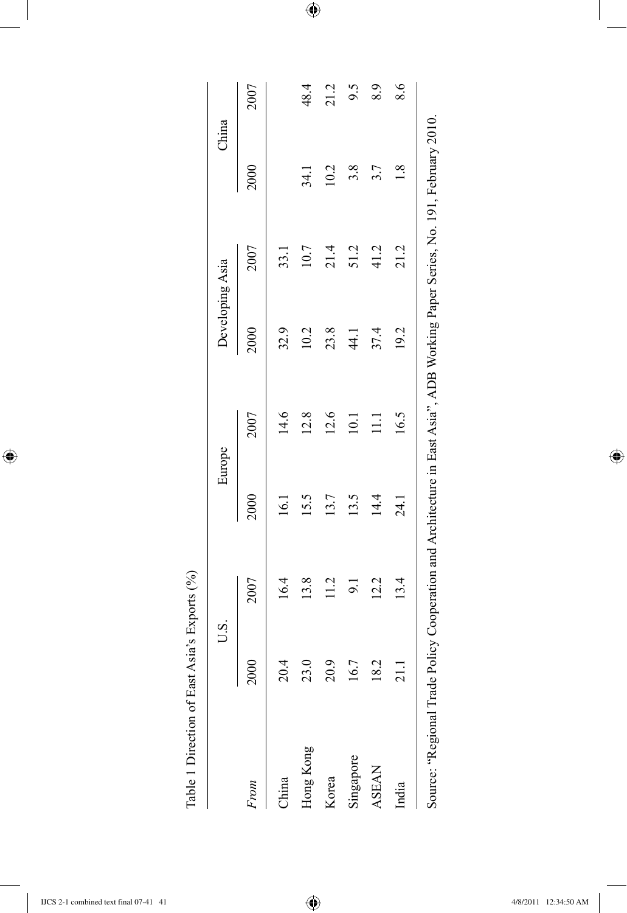|                                                                                                                             | U.S.                                  |      | Europe |                 | Developing Asia |      | China |      |
|-----------------------------------------------------------------------------------------------------------------------------|---------------------------------------|------|--------|-----------------|-----------------|------|-------|------|
| <b>From</b>                                                                                                                 | 2000                                  | 2007 | 2000   | 2007            | 2000            | 2007 | 2000  | 2007 |
| China                                                                                                                       | Ā<br>$\overline{\Omega}$              | 16.4 | 16.1   | 14.6            | 32.9            | 33.1 |       |      |
| Hong Kong                                                                                                                   | 23.0                                  | 13.8 | 15.5   | 12.8            | 10.2            | 10.7 | 34.1  | 48.4 |
| Korea                                                                                                                       | $\tilde{\mathbf{c}}$<br>$\mathcal{S}$ | 11.2 | 13.7   | 12.6            | 23.8            | 21.4 | 10.2  | 21.2 |
| Singapore                                                                                                                   | 16.7                                  | 9.1  | 13.5   | 10.1            | $\frac{4}{4}$   | 51.2 | 3.8   | 9.5  |
| <b>ASEAN</b>                                                                                                                | Ċ.<br>$\approx$                       | 12.2 | 14.4   | $\frac{1}{111}$ | 37.4            | 41.2 | 3.7   | 8.9  |
| India                                                                                                                       |                                       | 13.4 | 24.1   | 16.5            | 19.2            | 21.2 | 1.8   | 8.6  |
| Source: "Regional Trade Policy Cooperation and Architecture in East Asia", ADB Working Paper Series, No. 191, February 2010 |                                       |      |        |                 |                 |      |       |      |
|                                                                                                                             |                                       |      |        |                 |                 |      |       |      |
|                                                                                                                             |                                       |      |        |                 |                 |      |       |      |
|                                                                                                                             |                                       |      |        |                 |                 |      |       |      |
|                                                                                                                             |                                       |      |        |                 |                 |      |       |      |

 $\bigoplus$ 

Table 1 Direction of East Asia's Exports (%) Table 1 Direction of East Asia's Exports (%)

 $\overline{\phantom{a}}$ 

 $\bigoplus$ 

 $\overline{\phantom{a}}$ 

 $\bigoplus$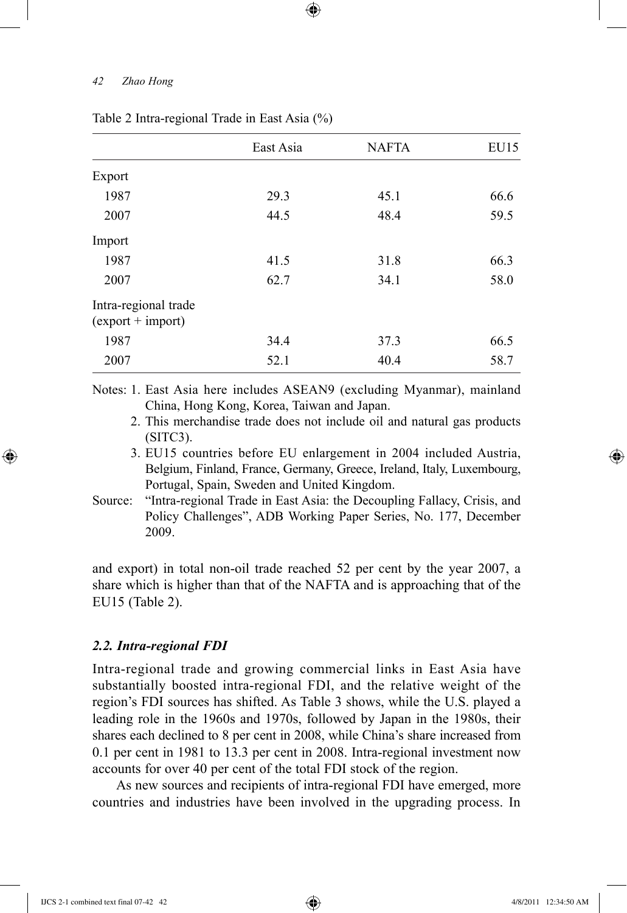|                                             | East Asia | <b>NAFTA</b> | EU15 |
|---------------------------------------------|-----------|--------------|------|
| Export                                      |           |              |      |
| 1987                                        | 29.3      | 45.1         | 66.6 |
| 2007                                        | 44.5      | 48.4         | 59.5 |
| Import                                      |           |              |      |
| 1987                                        | 41.5      | 31.8         | 66.3 |
| 2007                                        | 62.7      | 34.1         | 58.0 |
| Intra-regional trade<br>$(export + import)$ |           |              |      |
| 1987                                        | 34.4      | 37.3         | 66.5 |
| 2007                                        | 52.1      | 40.4         | 58.7 |
|                                             |           |              |      |

⊕

## Table 2 Intra-regional Trade in East Asia (%)

Notes: 1. East Asia here includes ASEAN9 (excluding Myanmar), mainland China, Hong Kong, Korea, Taiwan and Japan.

2. This merchandise trade does not include oil and natural gas products (SITC3).

- 3. EU15 countries before EU enlargement in 2004 included Austria, Belgium, Finland, France, Germany, Greece, Ireland, Italy, Luxembourg, Portugal, Spain, Sweden and United Kingdom.
- Source: "Intra-regional Trade in East Asia: the Decoupling Fallacy, Crisis, and Policy Challenges", ADB Working Paper Series, No. 177, December 2009.

and export) in total non-oil trade reached 52 per cent by the year 2007, a share which is higher than that of the NAFTA and is approaching that of the EU15 (Table 2).

## *2.2. Intra-regional FDI*

Intra-regional trade and growing commercial links in East Asia have substantially boosted intra-regional FDI, and the relative weight of the region's FDI sources has shifted. As Table 3 shows, while the U.S. played a leading role in the 1960s and 1970s, followed by Japan in the 1980s, their shares each declined to 8 per cent in 2008, while China's share increased from 0.1 per cent in 1981 to 13.3 per cent in 2008. Intra-regional investment now accounts for over 40 per cent of the total FDI stock of the region.

As new sources and recipients of intra-regional FDI have emerged, more countries and industries have been involved in the upgrading process. In

⊕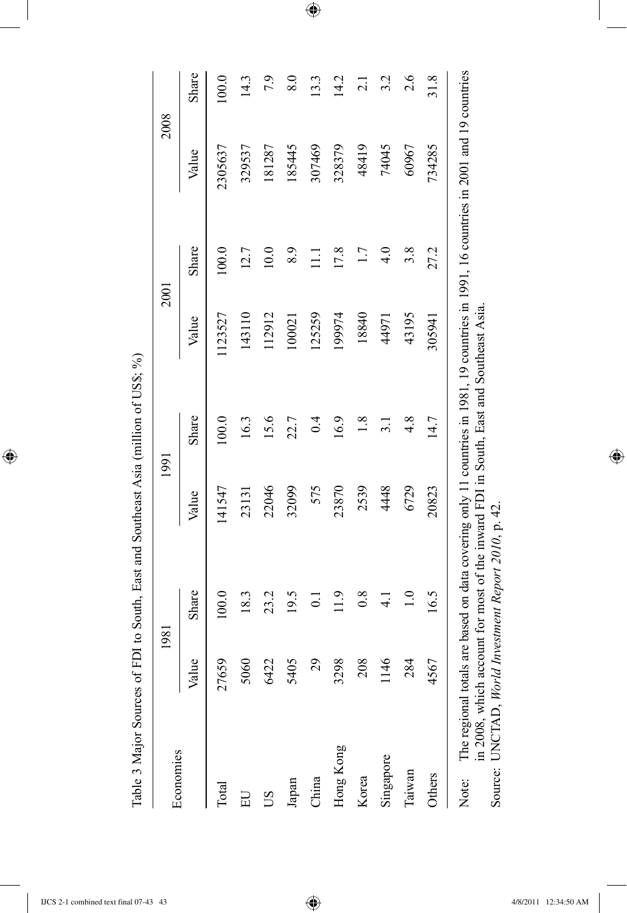Table 3 Major Sources of FDI to South, East and Southeast Asia (million of US\$; %) Table 3 Major Sources of FDI to South, East and Southeast Asia (million of US\$; %)

 $\overline{\phantom{a}}$ 

 $\bigoplus$ 

| Economies                                                     | 1981  |                                                                                                                                                                                                                               | 1991   |               | 2001    |       | 2008    |                  |
|---------------------------------------------------------------|-------|-------------------------------------------------------------------------------------------------------------------------------------------------------------------------------------------------------------------------------|--------|---------------|---------|-------|---------|------------------|
|                                                               | Value | Share                                                                                                                                                                                                                         | Value  | Share         | Value   | Share | Value   | Share            |
| Total                                                         | 27659 | 100.0                                                                                                                                                                                                                         | 141547 | 100.0         | 1123527 | 100.0 | 2305637 | 100.0            |
| 口                                                             | 5060  | 18.3                                                                                                                                                                                                                          | 23131  | 16.3          | 143110  | 12.7  | 329537  | 14.3             |
| SU                                                            | 6422  | 23.2                                                                                                                                                                                                                          | 22046  | 15.6          | 112912  | 10.0  | 181287  | 7.9              |
| Japan                                                         | 5405  | 19.5                                                                                                                                                                                                                          | 32099  | 22.7          | 100021  | 8.9   | 185445  | $\overline{8.0}$ |
| China                                                         | 29    | $\overline{0}$                                                                                                                                                                                                                | 575    | 0.4           | 125259  | $\Xi$ | 307469  | $\overline{.3}$  |
| Hong Kong                                                     | 3298  | 11.9                                                                                                                                                                                                                          | 23870  | 16.9          | 199974  | 17.8  | 328379  | 14.2             |
| Korea                                                         | 208   | 0.8                                                                                                                                                                                                                           | 2539   | 1.8           | 18840   | 1.7   | 48419   | $\overline{c}$   |
| Singapore                                                     | .146  | $\frac{1}{4}$                                                                                                                                                                                                                 | 4448   | $\frac{1}{3}$ | 44971   | 4.0   | 74045   | 3.2              |
| Taiwan                                                        | 284   | $\overline{1.0}$                                                                                                                                                                                                              | 6729   | $\frac{8}{4}$ | 43195   | 3.8   | 60967   | 2.6              |
| Others                                                        | 4567  | 16.5                                                                                                                                                                                                                          | 20823  | 14.7          | 305941  | 27.2  | 734285  | 31.8             |
| Source: UNCTAD, World Investment Report 2010, p. 42.<br>Note: |       | The regional totals are based on data covering only 11 countries in 1981, 19 countries in 1991, 16 countries in 2001 and 19 countries<br>in 2008, which account for most of the inward FDI in South, East and Southeast Asia. |        |               |         |       |         |                  |

 $\bigoplus$ 

IJCS 2-1 combined text final 07-43 43 4/8/2011 12:34:50 AM

 $\bigoplus$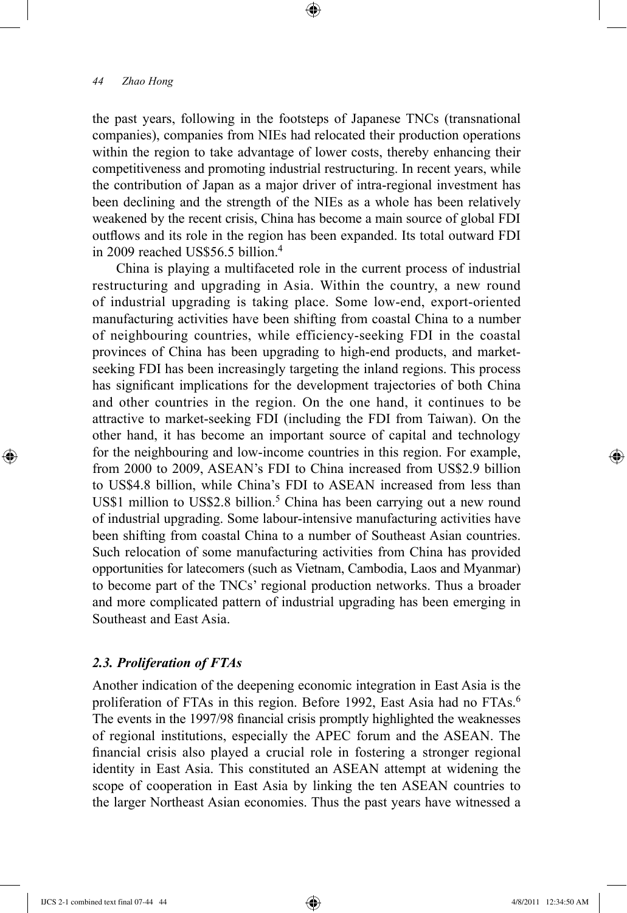the past years, following in the footsteps of Japanese TNCs (transnational companies), companies from NIEs had relocated their production operations within the region to take advantage of lower costs, thereby enhancing their competitiveness and promoting industrial restructuring. In recent years, while the contribution of Japan as a major driver of intra-regional investment has been declining and the strength of the NIEs as a whole has been relatively weakened by the recent crisis, China has become a main source of global FDI outflows and its role in the region has been expanded. Its total outward FDI in 2009 reached US\$56.5 billion.4

⊕

China is playing a multifaceted role in the current process of industrial restructuring and upgrading in Asia. Within the country, a new round of industrial upgrading is taking place. Some low-end, export-oriented manufacturing activities have been shifting from coastal China to a number of neighbouring countries, while efficiency-seeking FDI in the coastal provinces of China has been upgrading to high-end products, and marketseeking FDI has been increasingly targeting the inland regions. This process has significant implications for the development trajectories of both China and other countries in the region. On the one hand, it continues to be attractive to market-seeking FDI (including the FDI from Taiwan). On the other hand, it has become an important source of capital and technology for the neighbouring and low-income countries in this region. For example, from 2000 to 2009, ASEAN's FDI to China increased from US\$2.9 billion to US\$4.8 billion, while China's FDI to ASEAN increased from less than US\$1 million to US\$2.8 billion.<sup>5</sup> China has been carrying out a new round of industrial upgrading. Some labour-intensive manufacturing activities have been shifting from coastal China to a number of Southeast Asian countries. Such relocation of some manufacturing activities from China has provided opportunities for latecomers (such as Vietnam, Cambodia, Laos and Myanmar) to become part of the TNCs' regional production networks. Thus a broader and more complicated pattern of industrial upgrading has been emerging in Southeast and East Asia.

## *2.3. Proliferation of FTAs*

Another indication of the deepening economic integration in East Asia is the proliferation of FTAs in this region. Before 1992, East Asia had no FTAs.<sup>6</sup> The events in the 1997/98 financial crisis promptly highlighted the weaknesses of regional institutions, especially the APEC forum and the ASEAN. The financial crisis also played a crucial role in fostering a stronger regional identity in East Asia. This constituted an ASEAN attempt at widening the scope of cooperation in East Asia by linking the ten ASEAN countries to the larger Northeast Asian economies. Thus the past years have witnessed a

IJCS 2-1 combined text final 07-44 44 4/8/2011 12:34:50 AM

⊕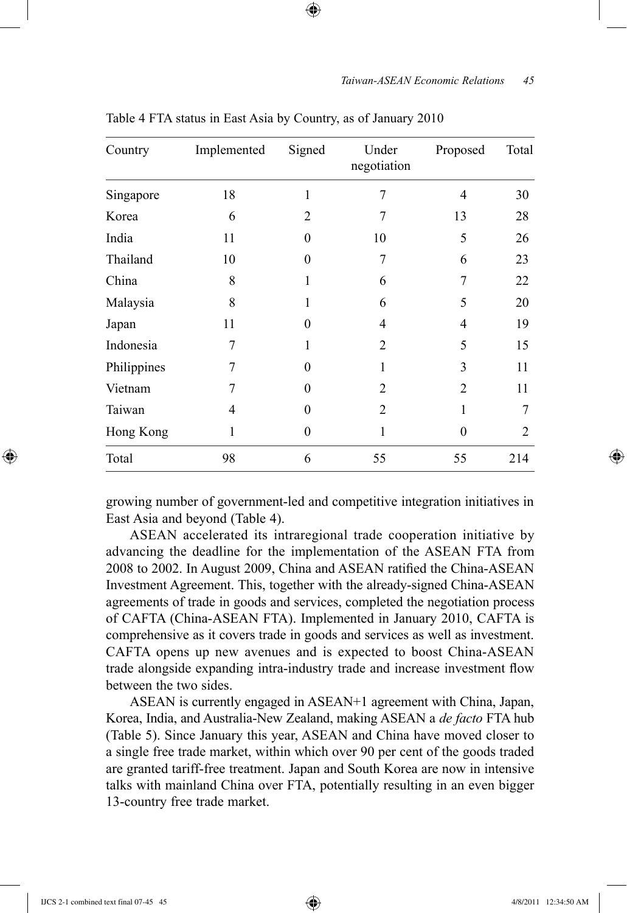| Country     | Implemented | Signed         | Under<br>negotiation | Proposed       | Total          |
|-------------|-------------|----------------|----------------------|----------------|----------------|
| Singapore   | 18          | 1              | 7                    | $\overline{4}$ | 30             |
| Korea       | 6           | $\overline{2}$ | 7                    | 13             | 28             |
| India       | 11          | $\Omega$       | 10                   | 5              | 26             |
| Thailand    | 10          | $\Omega$       | 7                    | 6              | 23             |
| China       | 8           | 1              | 6                    | 7              | 22             |
| Malaysia    | 8           |                | 6                    | 5              | 20             |
| Japan       | 11          | 0              | $\overline{4}$       | $\overline{4}$ | 19             |
| Indonesia   | 7           |                | $\overline{2}$       | 5              | 15             |
| Philippines | 7           | 0              | 1                    | 3              | 11             |
| Vietnam     | 7           | 0              | $\overline{2}$       | $\overline{2}$ | 11             |
| Taiwan      | 4           | 0              | $\overline{2}$       | 1              | 7              |
| Hong Kong   | 1           | 0              | 1                    | $\theta$       | $\overline{2}$ |
| Total       | 98          | 6              | 55                   | 55             | 214            |

Table 4 FTA status in East Asia by Country, as of January 2010

⊕

growing number of government-led and competitive integration initiatives in East Asia and beyond (Table 4).

ASEAN accelerated its intraregional trade cooperation initiative by advancing the deadline for the implementation of the ASEAN FTA from 2008 to 2002. In August 2009, China and ASEAN ratified the China-ASEAN Investment Agreement. This, together with the already-signed China-ASEAN agreements of trade in goods and services, completed the negotiation process of CAFTA (China-ASEAN FTA). Implemented in January 2010, CAFTA is comprehensive as it covers trade in goods and services as well as investment. CAFTA opens up new avenues and is expected to boost China-ASEAN trade alongside expanding intra-industry trade and increase investment flow between the two sides.

ASEAN is currently engaged in ASEAN+1 agreement with China, Japan, Korea, India, and Australia-New Zealand, making ASEAN a *de facto* FTA hub (Table 5). Since January this year, ASEAN and China have moved closer to a single free trade market, within which over 90 per cent of the goods traded are granted tariff-free treatment. Japan and South Korea are now in intensive talks with mainland China over FTA, potentially resulting in an even bigger 13-country free trade market.

⊕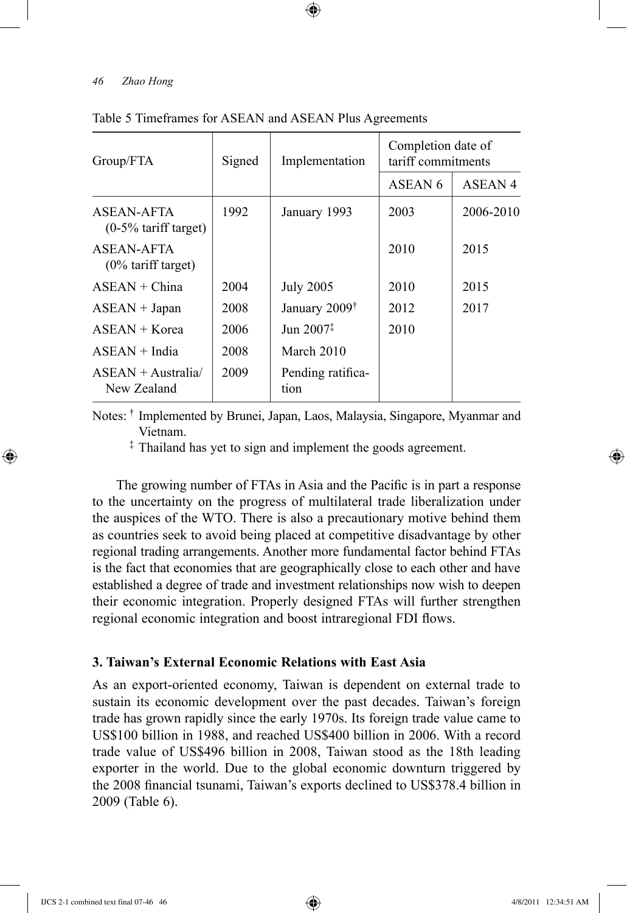| Group/FTA                             | Signed | Implementation            | Completion date of<br>tariff commitments |           |
|---------------------------------------|--------|---------------------------|------------------------------------------|-----------|
|                                       |        |                           | ASEAN 6                                  | ASEAN 4   |
| ASEAN-AFTA<br>$(0-5\%$ tariff target) | 1992   | January 1993              | 2003                                     | 2006-2010 |
| ASEAN-AFTA<br>$(0\%$ tariff target)   |        |                           | 2010                                     | 2015      |
| $ASEAN + China$                       | 2004   | <b>July 2005</b>          | 2010                                     | 2015      |
| $ASEAN + Japan$                       | 2008   | January 2009 <sup>†</sup> | 2012                                     | 2017      |
| $ASEAN + Korea$                       | 2006   | Jun $2007^{\ddagger}$     | 2010                                     |           |
| $ASEAN + India$                       | 2008   | March 2010                |                                          |           |
| $ASEAN + Australia/$<br>New Zealand   | 2009   | Pending ratifica-<br>tion |                                          |           |

⊕

#### Table 5 Timeframes for ASEAN and ASEAN Plus Agreements

Notes: † Implemented by Brunei, Japan, Laos, Malaysia, Singapore, Myanmar and Vietnam.

‡ Thailand has yet to sign and implement the goods agreement.

The growing number of FTAs in Asia and the Pacific is in part a response to the uncertainty on the progress of multilateral trade liberalization under the auspices of the WTO. There is also a precautionary motive behind them as countries seek to avoid being placed at competitive disadvantage by other regional trading arrangements. Another more fundamental factor behind FTAs is the fact that economies that are geographically close to each other and have established a degree of trade and investment relationships now wish to deepen their economic integration. Properly designed FTAs will further strengthen regional economic integration and boost intraregional FDI flows.

## **3. Taiwan's External Economic Relations with East Asia**

As an export-oriented economy, Taiwan is dependent on external trade to sustain its economic development over the past decades. Taiwan's foreign trade has grown rapidly since the early 1970s. Its foreign trade value came to US\$100 billion in 1988, and reached US\$400 billion in 2006. With a record trade value of US\$496 billion in 2008, Taiwan stood as the 18th leading exporter in the world. Due to the global economic downturn triggered by the 2008 financial tsunami, Taiwan's exports declined to US\$378.4 billion in 2009 (Table 6).

⊕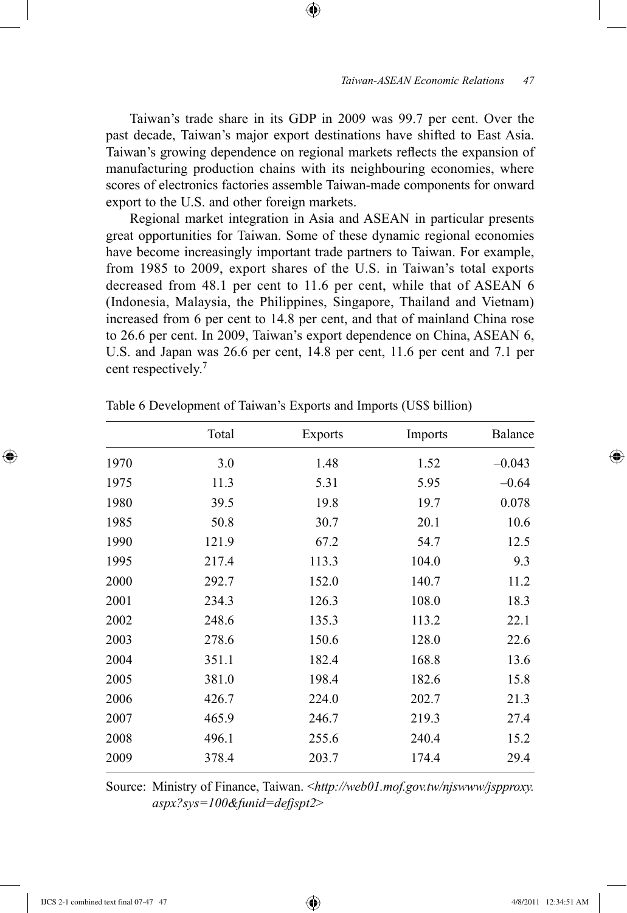Taiwan's trade share in its GDP in 2009 was 99.7 per cent. Over the past decade, Taiwan's major export destinations have shifted to East Asia. Taiwan's growing dependence on regional markets reflects the expansion of manufacturing production chains with its neighbouring economies, where scores of electronics factories assemble Taiwan-made components for onward export to the U.S. and other foreign markets.

⊕

Regional market integration in Asia and ASEAN in particular presents great opportunities for Taiwan. Some of these dynamic regional economies have become increasingly important trade partners to Taiwan. For example, from 1985 to 2009, export shares of the U.S. in Taiwan's total exports decreased from 48.1 per cent to 11.6 per cent, while that of ASEAN 6 (Indonesia, Malaysia, the Philippines, Singapore, Thailand and Vietnam) increased from 6 per cent to 14.8 per cent, and that of mainland China rose to 26.6 per cent. In 2009, Taiwan's export dependence on China, ASEAN 6, U.S. and Japan was 26.6 per cent, 14.8 per cent, 11.6 per cent and 7.1 per cent respectively.<sup>7</sup>

|      | Total | <b>Exports</b> | Imports | Balance  |
|------|-------|----------------|---------|----------|
| 1970 | 3.0   | 1.48           | 1.52    | $-0.043$ |
| 1975 | 11.3  | 5.31           | 5.95    | $-0.64$  |
| 1980 | 39.5  | 19.8           | 19.7    | 0.078    |
| 1985 | 50.8  | 30.7           | 20.1    | 10.6     |
| 1990 | 121.9 | 67.2           | 54.7    | 12.5     |
| 1995 | 217.4 | 113.3          | 104.0   | 9.3      |
| 2000 | 292.7 | 152.0          | 140.7   | 11.2     |
| 2001 | 234.3 | 126.3          | 108.0   | 18.3     |
| 2002 | 248.6 | 135.3          | 113.2   | 22.1     |
| 2003 | 278.6 | 150.6          | 128.0   | 22.6     |
| 2004 | 351.1 | 182.4          | 168.8   | 13.6     |
| 2005 | 381.0 | 198.4          | 182.6   | 15.8     |
| 2006 | 426.7 | 224.0          | 202.7   | 21.3     |
| 2007 | 465.9 | 246.7          | 219.3   | 27.4     |
| 2008 | 496.1 | 255.6          | 240.4   | 15.2     |
| 2009 | 378.4 | 203.7          | 174.4   | 29.4     |

Table 6 Development of Taiwan's Exports and Imports (US\$ billion)

Source: Ministry of Finance, Taiwan. <*http://web01.mof.gov.tw/njswww/jspproxy. aspx?sys=100&funid=defjspt2*>

⊕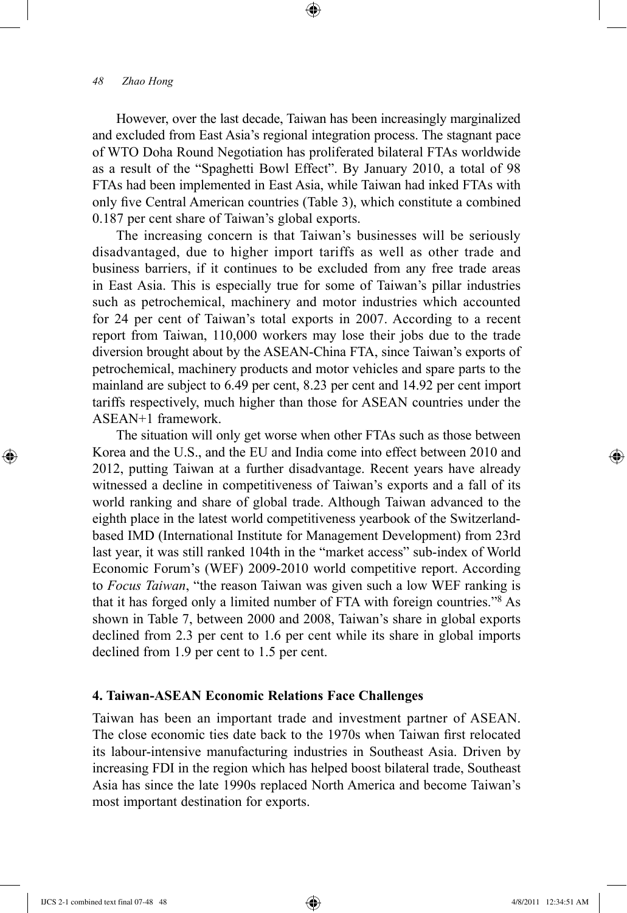However, over the last decade, Taiwan has been increasingly marginalized and excluded from East Asia's regional integration process. The stagnant pace of WTO Doha Round Negotiation has proliferated bilateral FTAs worldwide as a result of the "Spaghetti Bowl Effect". By January 2010, a total of 98 FTAs had been implemented in East Asia, while Taiwan had inked FTAs with only five Central American countries (Table 3), which constitute a combined 0.187 per cent share of Taiwan's global exports.

⊕

The increasing concern is that Taiwan's businesses will be seriously disadvantaged, due to higher import tariffs as well as other trade and business barriers, if it continues to be excluded from any free trade areas in East Asia. This is especially true for some of Taiwan's pillar industries such as petrochemical, machinery and motor industries which accounted for 24 per cent of Taiwan's total exports in 2007. According to a recent report from Taiwan, 110,000 workers may lose their jobs due to the trade diversion brought about by the ASEAN-China FTA, since Taiwan's exports of petrochemical, machinery products and motor vehicles and spare parts to the mainland are subject to 6.49 per cent, 8.23 per cent and 14.92 per cent import tariffs respectively, much higher than those for ASEAN countries under the ASEAN+1 framework.

The situation will only get worse when other FTAs such as those between Korea and the U.S., and the EU and India come into effect between 2010 and 2012, putting Taiwan at a further disadvantage. Recent years have already witnessed a decline in competitiveness of Taiwan's exports and a fall of its world ranking and share of global trade. Although Taiwan advanced to the eighth place in the latest world competitiveness yearbook of the Switzerlandbased IMD (International Institute for Management Development) from 23rd last year, it was still ranked 104th in the "market access" sub-index of World Economic Forum's (WEF) 2009-2010 world competitive report. According to *Focus Taiwan*, "the reason Taiwan was given such a low WEF ranking is that it has forged only a limited number of FTA with foreign countries."8 As shown in Table 7, between 2000 and 2008, Taiwan's share in global exports declined from 2.3 per cent to 1.6 per cent while its share in global imports declined from 1.9 per cent to 1.5 per cent.

# **4. Taiwan-ASEAN Economic Relations Face Challenges**

Taiwan has been an important trade and investment partner of ASEAN. The close economic ties date back to the 1970s when Taiwan first relocated its labour-intensive manufacturing industries in Southeast Asia. Driven by increasing FDI in the region which has helped boost bilateral trade, Southeast Asia has since the late 1990s replaced North America and become Taiwan's most important destination for exports.

⊕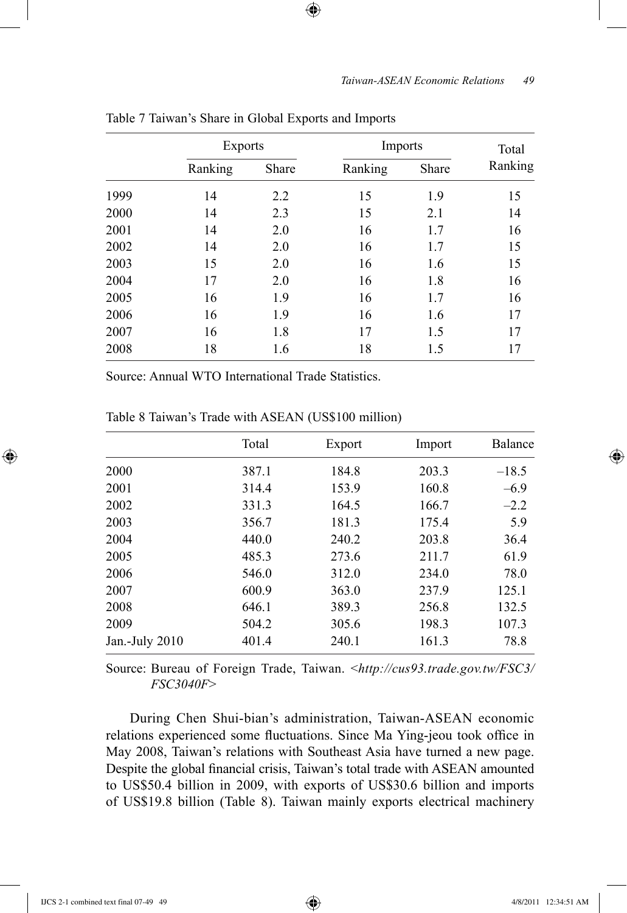|      | <b>Exports</b> |       | Imports |       | Total   |
|------|----------------|-------|---------|-------|---------|
|      | Ranking        | Share | Ranking | Share | Ranking |
| 1999 | 14             | 2.2   | 15      | 1.9   | 15      |
| 2000 | 14             | 2.3   | 15      | 2.1   | 14      |
| 2001 | 14             | 2.0   | 16      | 1.7   | 16      |
| 2002 | 14             | 2.0   | 16      | 1.7   | 15      |
| 2003 | 15             | 2.0   | 16      | 1.6   | 15      |
| 2004 | 17             | 2.0   | 16      | 1.8   | 16      |
| 2005 | 16             | 1.9   | 16      | 1.7   | 16      |
| 2006 | 16             | 1.9   | 16      | 1.6   | 17      |
| 2007 | 16             | 1.8   | 17      | 1.5   | 17      |
| 2008 | 18             | 1.6   | 18      | 1.5   | 17      |

 $\textcircled{\scriptsize{+}}$ 

Table 7 Taiwan's Share in Global Exports and Imports

Source: Annual WTO International Trade Statistics.

|                | Total | Export | Import | Balance |
|----------------|-------|--------|--------|---------|
| 2000           | 387.1 | 184.8  | 203.3  | $-18.5$ |
| 2001           | 314.4 | 153.9  | 160.8  | $-6.9$  |
| 2002           | 331.3 | 164.5  | 166.7  | $-2.2$  |
| 2003           | 356.7 | 181.3  | 175.4  | 5.9     |
| 2004           | 440.0 | 240.2  | 203.8  | 36.4    |
| 2005           | 485.3 | 273.6  | 211.7  | 61.9    |
| 2006           | 546.0 | 312.0  | 234.0  | 78.0    |
| 2007           | 600.9 | 363.0  | 237.9  | 125.1   |
| 2008           | 646.1 | 389.3  | 256.8  | 132.5   |
| 2009           | 504.2 | 305.6  | 198.3  | 107.3   |
| Jan.-July 2010 | 401.4 | 240.1  | 161.3  | 78.8    |

Table 8 Taiwan's Trade with ASEAN (US\$100 million)

Source: Bureau of Foreign Trade, Taiwan. <*http://cus93.trade.gov.tw/FSC3/ FSC3040F*>

During Chen Shui-bian's administration, Taiwan-ASEAN economic relations experienced some fluctuations. Since Ma Ying-jeou took office in May 2008, Taiwan's relations with Southeast Asia have turned a new page. Despite the global financial crisis, Taiwan's total trade with ASEAN amounted to US\$50.4 billion in 2009, with exports of US\$30.6 billion and imports of US\$19.8 billion (Table 8). Taiwan mainly exports electrical machinery

 $\bigoplus$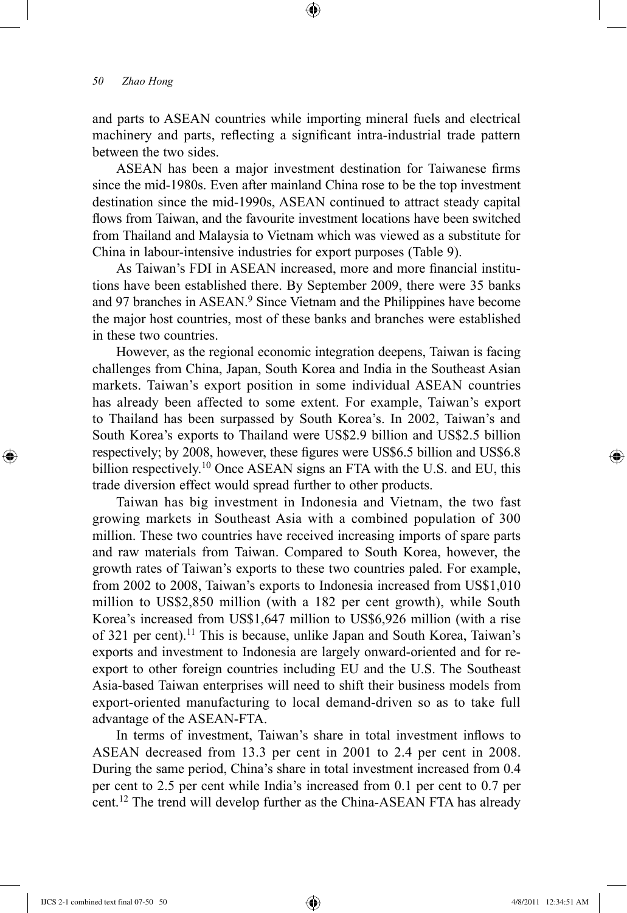and parts to ASEAN countries while importing mineral fuels and electrical machinery and parts, reflecting a significant intra-industrial trade pattern between the two sides.

⊕

ASEAN has been a major investment destination for Taiwanese firms since the mid-1980s. Even after mainland China rose to be the top investment destination since the mid-1990s, ASEAN continued to attract steady capital flows from Taiwan, and the favourite investment locations have been switched from Thailand and Malaysia to Vietnam which was viewed as a substitute for China in labour-intensive industries for export purposes (Table 9).

As Taiwan's FDI in ASEAN increased, more and more financial institutions have been established there. By September 2009, there were 35 banks and 97 branches in ASEAN.<sup>9</sup> Since Vietnam and the Philippines have become the major host countries, most of these banks and branches were established in these two countries.

However, as the regional economic integration deepens, Taiwan is facing challenges from China, Japan, South Korea and India in the Southeast Asian markets. Taiwan's export position in some individual ASEAN countries has already been affected to some extent. For example, Taiwan's export to Thailand has been surpassed by South Korea's. In 2002, Taiwan's and South Korea's exports to Thailand were US\$2.9 billion and US\$2.5 billion respectively; by 2008, however, these figures were US\$6.5 billion and US\$6.8 billion respectively.<sup>10</sup> Once ASEAN signs an FTA with the U.S. and EU, this trade diversion effect would spread further to other products.

Taiwan has big investment in Indonesia and Vietnam, the two fast growing markets in Southeast Asia with a combined population of 300 million. These two countries have received increasing imports of spare parts and raw materials from Taiwan. Compared to South Korea, however, the growth rates of Taiwan's exports to these two countries paled. For example, from 2002 to 2008, Taiwan's exports to Indonesia increased from US\$1,010 million to US\$2,850 million (with a 182 per cent growth), while South Korea's increased from US\$1,647 million to US\$6,926 million (with a rise of 321 per cent).<sup>11</sup> This is because, unlike Japan and South Korea, Taiwan's exports and investment to Indonesia are largely onward-oriented and for reexport to other foreign countries including EU and the U.S. The Southeast Asia-based Taiwan enterprises will need to shift their business models from export-oriented manufacturing to local demand-driven so as to take full advantage of the ASEAN-FTA.

In terms of investment, Taiwan's share in total investment inflows to ASEAN decreased from 13.3 per cent in 2001 to 2.4 per cent in 2008. During the same period, China's share in total investment increased from 0.4 per cent to 2.5 per cent while India's increased from 0.1 per cent to 0.7 per cent.<sup>12</sup> The trend will develop further as the China-ASEAN FTA has already

⊕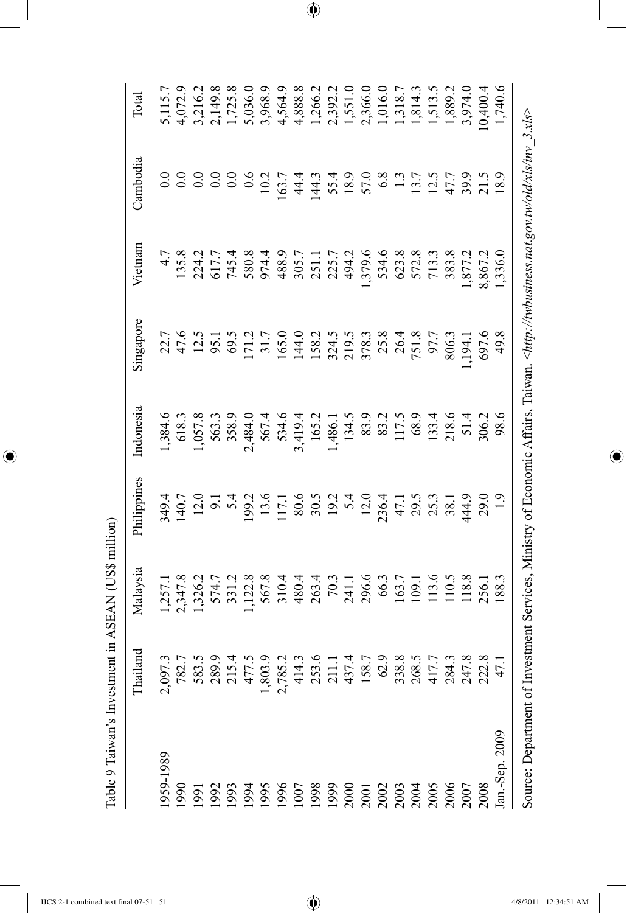| $\sim$<br>i<br>l<br>֚֘<br>ׇ֚<br>そくとき            |
|-------------------------------------------------|
| -<br> <br>                                      |
| $-1$<br>ׇ֡֕֡<br>$-7.77$                         |
| $\ddot{\phantom{0}}$<br>------<br>$\frac{1}{2}$ |
| ءام                                             |

 $\overline{\phantom{a}}$ 

 $\bigoplus$ 

|                           | land<br>Thail | Malaysia                                                                                                                                                                                                | Philippines | Indonesia                                                                                                                                                                                                                   | Singapore     | Vietnam | Cambodia                                                 | Total   |
|---------------------------|---------------|---------------------------------------------------------------------------------------------------------------------------------------------------------------------------------------------------------|-------------|-----------------------------------------------------------------------------------------------------------------------------------------------------------------------------------------------------------------------------|---------------|---------|----------------------------------------------------------|---------|
| 959-1989                  |               |                                                                                                                                                                                                         |             |                                                                                                                                                                                                                             |               |         |                                                          | 5,115.7 |
| 0661                      |               | $1.377.8$ $1.347.8$ $1.347.8$ $1.347.8$ $1.347.8$ $1.347.8$ $1.347.8$ $1.347.8$ $1.347.8$ $1.347.8$ $1.347.8$ $1.347.8$ $1.347.8$ $1.347.8$ $1.347.8$ $1.347.8$ $1.347.8$ $1.347.8$ $1.347.8$ $1.347.8$ |             | $1.384.6$ $1.957.8$ $2.957.8$ $2.957.8$ $2.957.8$ $2.957.8$ $2.957.8$ $2.957.8$ $2.957.8$ $2.957.8$ $2.957.8$ $2.957.8$ $2.957.8$ $2.957.8$ $2.957.8$ $2.957.8$ $2.957.8$ $2.957.8$ $2.957.8$ $2.957.8$ $2.957.8$ $2.957.8$ |               |         |                                                          |         |
| 1991                      |               |                                                                                                                                                                                                         |             |                                                                                                                                                                                                                             |               |         |                                                          |         |
|                           |               |                                                                                                                                                                                                         |             |                                                                                                                                                                                                                             |               |         |                                                          |         |
|                           |               |                                                                                                                                                                                                         |             |                                                                                                                                                                                                                             |               |         |                                                          |         |
|                           |               |                                                                                                                                                                                                         |             |                                                                                                                                                                                                                             |               |         |                                                          |         |
|                           |               |                                                                                                                                                                                                         |             |                                                                                                                                                                                                                             |               |         |                                                          |         |
|                           |               |                                                                                                                                                                                                         |             |                                                                                                                                                                                                                             |               |         |                                                          |         |
|                           |               |                                                                                                                                                                                                         |             |                                                                                                                                                                                                                             |               |         |                                                          |         |
|                           |               |                                                                                                                                                                                                         |             |                                                                                                                                                                                                                             |               |         |                                                          |         |
|                           |               |                                                                                                                                                                                                         |             |                                                                                                                                                                                                                             |               |         |                                                          |         |
|                           |               |                                                                                                                                                                                                         |             |                                                                                                                                                                                                                             |               |         |                                                          |         |
|                           |               |                                                                                                                                                                                                         |             |                                                                                                                                                                                                                             |               |         |                                                          |         |
|                           |               |                                                                                                                                                                                                         |             |                                                                                                                                                                                                                             |               |         |                                                          |         |
|                           |               |                                                                                                                                                                                                         |             |                                                                                                                                                                                                                             |               |         |                                                          |         |
|                           |               |                                                                                                                                                                                                         |             |                                                                                                                                                                                                                             |               |         |                                                          |         |
|                           |               |                                                                                                                                                                                                         |             |                                                                                                                                                                                                                             |               |         |                                                          |         |
|                           |               |                                                                                                                                                                                                         |             |                                                                                                                                                                                                                             |               |         |                                                          |         |
|                           |               |                                                                                                                                                                                                         |             |                                                                                                                                                                                                                             |               |         |                                                          |         |
|                           |               |                                                                                                                                                                                                         | 29.0        |                                                                                                                                                                                                                             |               |         |                                                          |         |
| an.-Sep. 2009             |               |                                                                                                                                                                                                         |             |                                                                                                                                                                                                                             | 697.6<br>49.8 |         |                                                          |         |
| Source: Department of Inv |               |                                                                                                                                                                                                         |             |                                                                                                                                                                                                                             |               |         | vestment Services, Ministry of Economic Affairs, Taiwan. |         |

 $\bigoplus$ 

 $\bigoplus$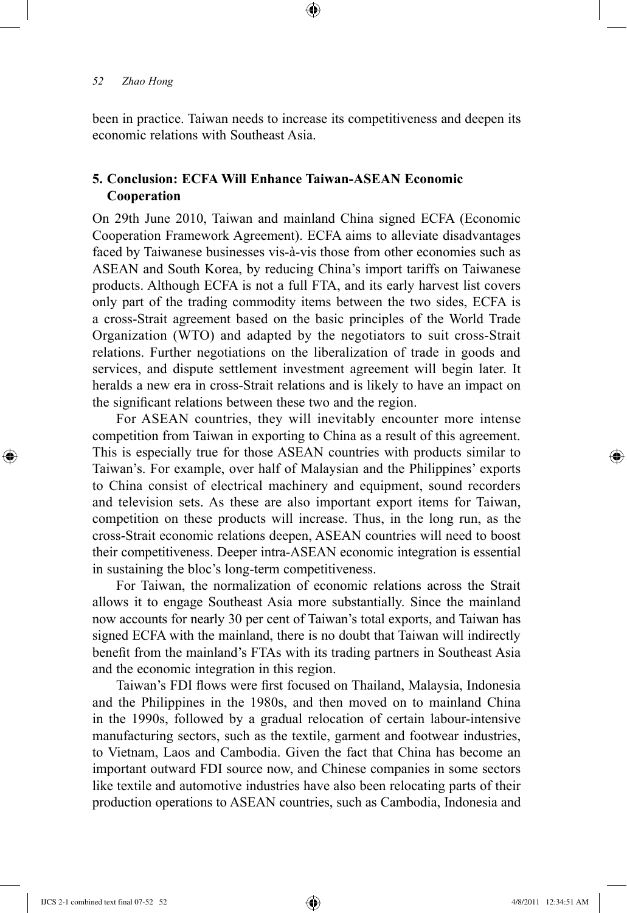been in practice. Taiwan needs to increase its competitiveness and deepen its economic relations with Southeast Asia.

⊕

# **5. Conclusion: ECFA Will Enhance Taiwan-ASEAN Economic Cooperation**

On 29th June 2010, Taiwan and mainland China signed ECFA (Economic Cooperation Framework Agreement). ECFA aims to alleviate disadvantages faced by Taiwanese businesses vis-à-vis those from other economies such as ASEAN and South Korea, by reducing China's import tariffs on Taiwanese products. Although ECFA is not a full FTA, and its early harvest list covers only part of the trading commodity items between the two sides, ECFA is a cross-Strait agreement based on the basic principles of the World Trade Organization (WTO) and adapted by the negotiators to suit cross-Strait relations. Further negotiations on the liberalization of trade in goods and services, and dispute settlement investment agreement will begin later. It heralds a new era in cross-Strait relations and is likely to have an impact on the significant relations between these two and the region.

For ASEAN countries, they will inevitably encounter more intense competition from Taiwan in exporting to China as a result of this agreement. This is especially true for those ASEAN countries with products similar to Taiwan's. For example, over half of Malaysian and the Philippines' exports to China consist of electrical machinery and equipment, sound recorders and television sets. As these are also important export items for Taiwan, competition on these products will increase. Thus, in the long run, as the cross-Strait economic relations deepen, ASEAN countries will need to boost their competitiveness. Deeper intra-ASEAN economic integration is essential in sustaining the bloc's long-term competitiveness.

For Taiwan, the normalization of economic relations across the Strait allows it to engage Southeast Asia more substantially. Since the mainland now accounts for nearly 30 per cent of Taiwan's total exports, and Taiwan has signed ECFA with the mainland, there is no doubt that Taiwan will indirectly benefit from the mainland's FTAs with its trading partners in Southeast Asia and the economic integration in this region.

Taiwan's FDI flows were first focused on Thailand, Malaysia, Indonesia and the Philippines in the 1980s, and then moved on to mainland China in the 1990s, followed by a gradual relocation of certain labour-intensive manufacturing sectors, such as the textile, garment and footwear industries, to Vietnam, Laos and Cambodia. Given the fact that China has become an important outward FDI source now, and Chinese companies in some sectors like textile and automotive industries have also been relocating parts of their production operations to ASEAN countries, such as Cambodia, Indonesia and

IJCS 2-1 combined text final 07-52 52 4/8/2011 12:34:51 AM

⊕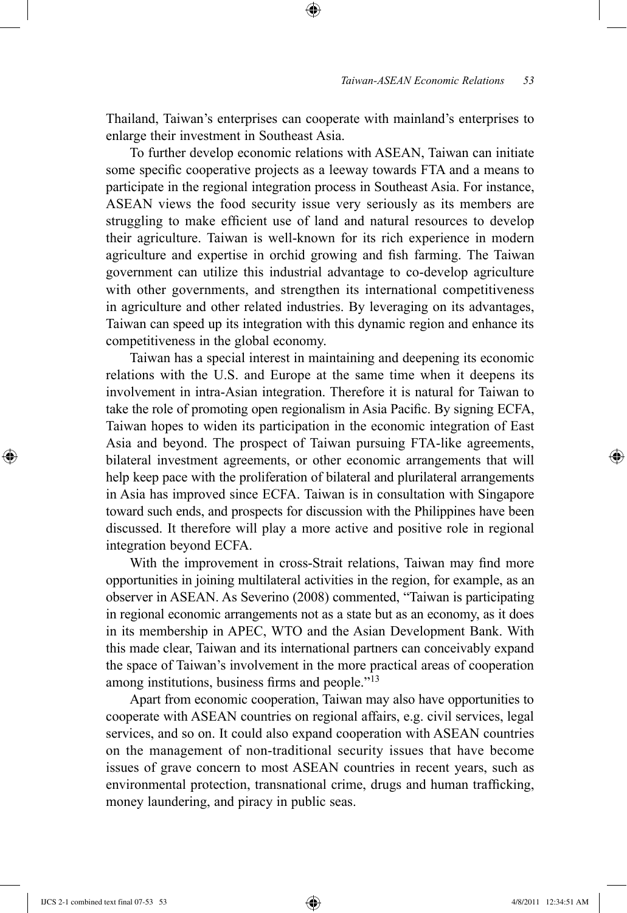Thailand, Taiwan's enterprises can cooperate with mainland's enterprises to enlarge their investment in Southeast Asia.

⊕

To further develop economic relations with ASEAN, Taiwan can initiate some specific cooperative projects as a leeway towards FTA and a means to participate in the regional integration process in Southeast Asia. For instance, ASEAN views the food security issue very seriously as its members are struggling to make efficient use of land and natural resources to develop their agriculture. Taiwan is well-known for its rich experience in modern agriculture and expertise in orchid growing and fish farming. The Taiwan government can utilize this industrial advantage to co-develop agriculture with other governments, and strengthen its international competitiveness in agriculture and other related industries. By leveraging on its advantages, Taiwan can speed up its integration with this dynamic region and enhance its competitiveness in the global economy.

Taiwan has a special interest in maintaining and deepening its economic relations with the U.S. and Europe at the same time when it deepens its involvement in intra-Asian integration. Therefore it is natural for Taiwan to take the role of promoting open regionalism in Asia Pacific. By signing ECFA, Taiwan hopes to widen its participation in the economic integration of East Asia and beyond. The prospect of Taiwan pursuing FTA-like agreements, bilateral investment agreements, or other economic arrangements that will help keep pace with the proliferation of bilateral and plurilateral arrangements in Asia has improved since ECFA. Taiwan is in consultation with Singapore toward such ends, and prospects for discussion with the Philippines have been discussed. It therefore will play a more active and positive role in regional integration beyond ECFA.

With the improvement in cross-Strait relations, Taiwan may find more opportunities in joining multilateral activities in the region, for example, as an observer in ASEAN. As Severino (2008) commented, "Taiwan is participating in regional economic arrangements not as a state but as an economy, as it does in its membership in APEC, WTO and the Asian Development Bank. With this made clear, Taiwan and its international partners can conceivably expand the space of Taiwan's involvement in the more practical areas of cooperation among institutions, business firms and people."<sup>13</sup>

Apart from economic cooperation, Taiwan may also have opportunities to cooperate with ASEAN countries on regional affairs, e.g. civil services, legal services, and so on. It could also expand cooperation with ASEAN countries on the management of non-traditional security issues that have become issues of grave concern to most ASEAN countries in recent years, such as environmental protection, transnational crime, drugs and human trafficking, money laundering, and piracy in public seas.

IJCS 2-1 combined text final 07-53 53 4/8/2011 12:34:51 AM

⊕